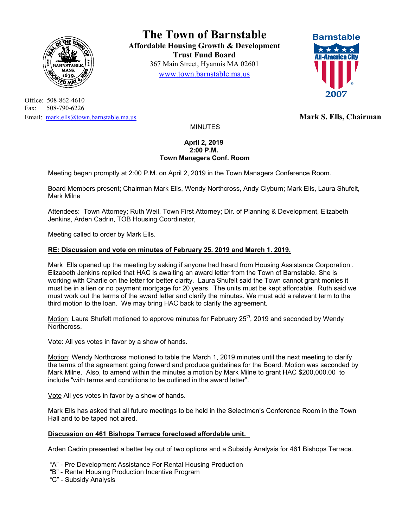

Office: 508-862-4610 Fax: 508-790-6226 Email: mark.ells@town.barnstable.ma.us **Mark S. Ells, Chairman Mark S. Ells, Chairman** 

**The Town of Barnstable Affordable Housing Growth & Development Trust Fund Board**  367 Main Street, Hyannis MA 02601 www.town.barnstable.ma.us



MINUTES

## **April 2, 2019 2:00 P.M. Town Managers Conf. Room**

Meeting began promptly at 2:00 P.M. on April 2, 2019 in the Town Managers Conference Room.

Board Members present; Chairman Mark Ells, Wendy Northcross, Andy Clyburn; Mark Ells, Laura Shufelt, Mark Milne

Attendees: Town Attorney; Ruth Weil, Town First Attorney; Dir. of Planning & Development, Elizabeth Jenkins, Arden Cadrin, TOB Housing Coordinator,

Meeting called to order by Mark Ells.

## **RE: Discussion and vote on minutes of February 25. 2019 and March 1. 2019.**

Mark Ells opened up the meeting by asking if anyone had heard from Housing Assistance Corporation . Elizabeth Jenkins replied that HAC is awaiting an award letter from the Town of Barnstable. She is working with Charlie on the letter for better clarity. Laura Shufelt said the Town cannot grant monies it must be in a lien or no payment mortgage for 20 years. The units must be kept affordable. Ruth said we must work out the terms of the award letter and clarify the minutes. We must add a relevant term to the third motion to the loan. We may bring HAC back to clarify the agreement.

Motion: Laura Shufelt motioned to approve minutes for February  $25<sup>th</sup>$ , 2019 and seconded by Wendy Northcross.

Vote: All yes votes in favor by a show of hands.

Motion: Wendy Northcross motioned to table the March 1, 2019 minutes until the next meeting to clarify the terms of the agreement going forward and produce guidelines for the Board. Motion was seconded by Mark Milne. Also, to amend within the minutes a motion by Mark Milne to grant HAC \$200,000.00 to include "with terms and conditions to be outlined in the award letter".

Vote All yes votes in favor by a show of hands.

Mark Ells has asked that all future meetings to be held in the Selectmen's Conference Room in the Town Hall and to be taped not aired.

## **Discussion on 461 Bishops Terrace foreclosed affordable unit.**

Arden Cadrin presented a better lay out of two options and a Subsidy Analysis for 461 Bishops Terrace.

"A" - Pre Development Assistance For Rental Housing Production

- "B" Rental Housing Production Incentive Program
- "C" Subsidy Analysis